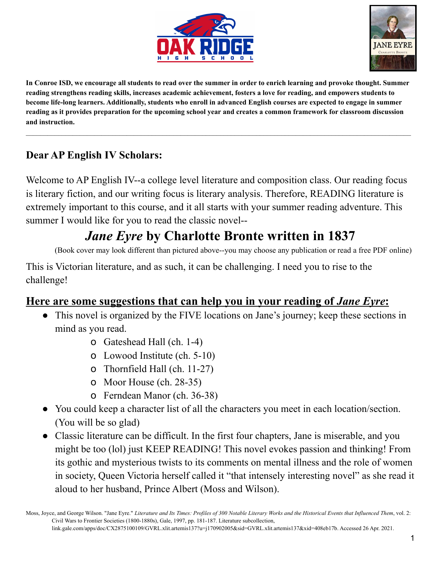



In Conroe ISD, we encourage all students to read over the summer in order to enrich learning and provoke thought. Summer reading strengthens reading skills, increases academic achievement, fosters a love for reading, and empowers students to become life-long learners. Additionally, students who enroll in advanced English courses are expected to engage in summer reading as it provides preparation for the upcoming school year and creates a common framework for classroom discussion **and instruction.**

## **Dear AP English IV Scholars:**

Welcome to AP English IV--a college level literature and composition class. Our reading focus is literary fiction, and our writing focus is literary analysis. Therefore, READING literature is extremely important to this course, and it all starts with your summer reading adventure. This summer I would like for you to read the classic novel--

## *Jane Eyre* **by Charlotte Bronte written in 1837**

(Book cover may look different than pictured above--you may choose any publication or read a free PDF online)

This is Victorian literature, and as such, it can be challenging. I need you to rise to the challenge!

## **Here are some suggestions that can help you in your reading of** *Jane Eyre***:**

- This novel is organized by the FIVE locations on Jane's journey; keep these sections in mind as you read.
	- o Gateshead Hall (ch. 1-4)
	- o Lowood Institute (ch. 5-10)
	- o Thornfield Hall (ch. 11-27)
	- o Moor House (ch. 28-35)
	- o Ferndean Manor (ch. 36-38)
- You could keep a character list of all the characters you meet in each location/section. (You will be so glad)
- Classic literature can be difficult. In the first four chapters, Jane is miserable, and you might be too (lol) just KEEP READING! This novel evokes passion and thinking! From its gothic and mysterious twists to its comments on mental illness and the role of women in society, Queen Victoria herself called it "that intensely interesting novel" as she read it aloud to her husband, Prince Albert (Moss and Wilson).

Moss, Joyce, and George Wilson. "Jane Eyre." Literature and Its Times: Profiles of 300 Notable Literary Works and the Historical Events that Influenced Them, vol. 2: Civil Wars to Frontier Societies (1800-1880s), Gale, 1997, pp. 181-187. Literature subcollection, link.gale.com/apps/doc/CX2875100109/GVRL.xlit.artemis137?u=j170902005&sid=GVRL.xlit.artemis137&xid=408eb17b. Accessed 26 Apr. 2021.